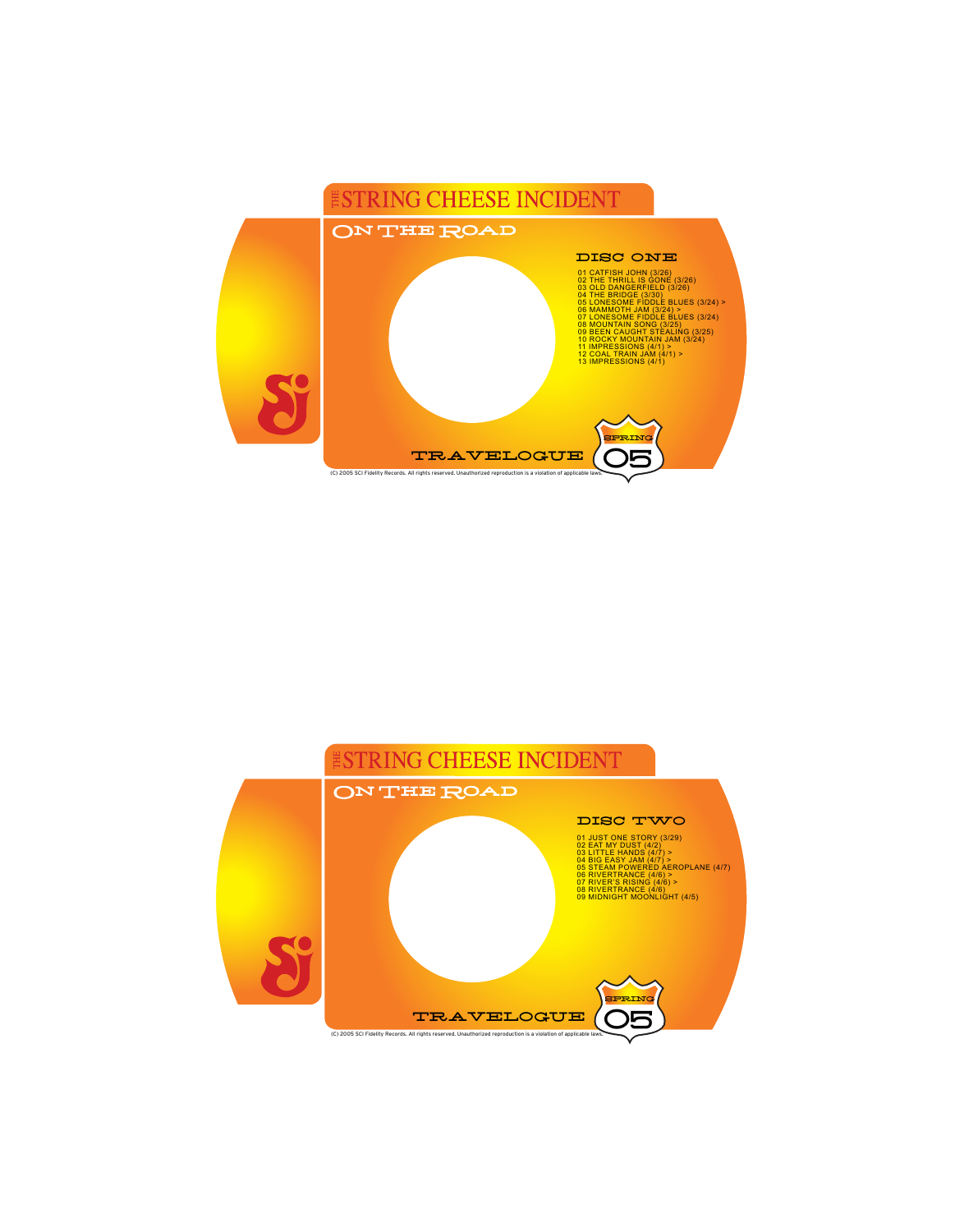